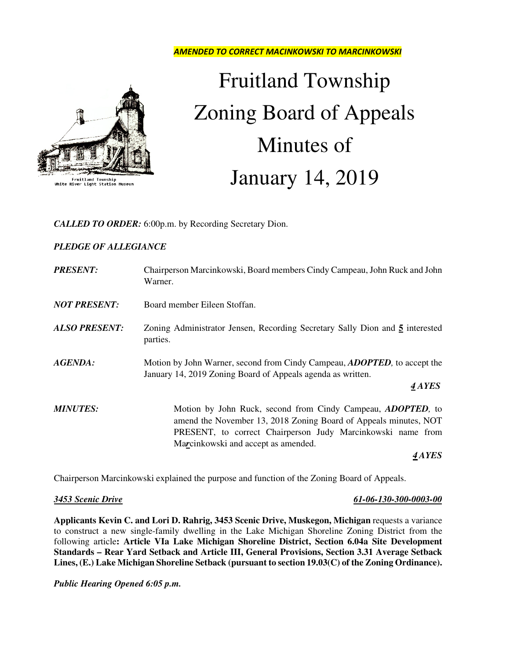AMENDED TO CORRECT MACINKOWSKI TO MARCINKOWSKI



Fruitland Township<br>White River Light Station Muse

# Fruitland Township Zoning Board of Appeals Minutes of January 14, 2019

*CALLED TO ORDER:* 6:00p.m. by Recording Secretary Dion.

## *PLEDGE OF ALLEGIANCE*

| <b>PRESENT:</b>      | Chairperson Marcinkowski, Board members Cindy Campeau, John Ruck and John<br>Warner.                                                                                                                                                          |
|----------------------|-----------------------------------------------------------------------------------------------------------------------------------------------------------------------------------------------------------------------------------------------|
| <b>NOT PRESENT:</b>  | Board member Eileen Stoffan.                                                                                                                                                                                                                  |
| <b>ALSO PRESENT:</b> | Zoning Administrator Jensen, Recording Secretary Sally Dion and 5 interested<br>parties.                                                                                                                                                      |
| <b>AGENDA:</b>       | Motion by John Warner, second from Cindy Campeau, <i>ADOPTED</i> , to accept the<br>January 14, 2019 Zoning Board of Appeals agenda as written.<br>4 AYES                                                                                     |
| <b>MINUTES:</b>      | Motion by John Ruck, second from Cindy Campeau, <i>ADOPTED</i> , to<br>amend the November 13, 2018 Zoning Board of Appeals minutes, NOT<br>PRESENT, to correct Chairperson Judy Marcinkowski name from<br>Marcinkowski and accept as amended. |
|                      | 4 A YES                                                                                                                                                                                                                                       |

Chairperson Marcinkowski explained the purpose and function of the Zoning Board of Appeals.

*3453 Scenic Drive 61-06-130-300-0003-00*

**Applicants Kevin C. and Lori D. Rahrig, 3453 Scenic Drive, Muskegon, Michigan** requests a variance to construct a new single-family dwelling in the Lake Michigan Shoreline Zoning District from the following article**: Article VIa Lake Michigan Shoreline District, Section 6.04a Site Development Standards – Rear Yard Setback and Article III, General Provisions, Section 3.31 Average Setback Lines, (E.) Lake Michigan Shoreline Setback (pursuant to section 19.03(C) of the Zoning Ordinance).** 

*Public Hearing Opened 6:05 p.m.*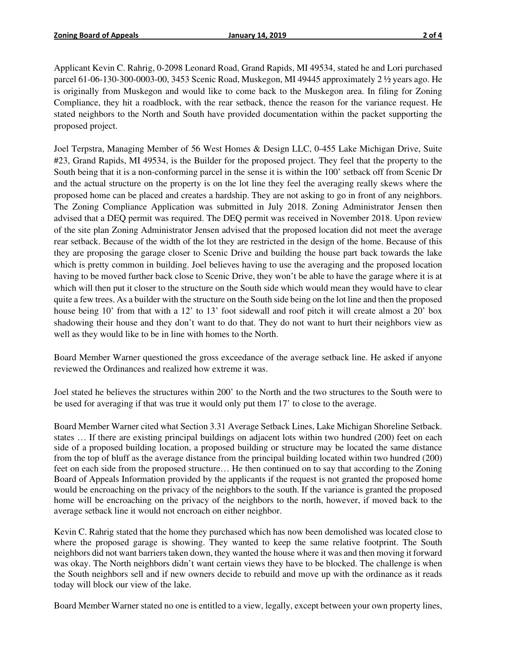Applicant Kevin C. Rahrig, 0-2098 Leonard Road, Grand Rapids, MI 49534, stated he and Lori purchased parcel 61-06-130-300-0003-00, 3453 Scenic Road, Muskegon, MI 49445 approximately 2 ½ years ago. He is originally from Muskegon and would like to come back to the Muskegon area. In filing for Zoning Compliance, they hit a roadblock, with the rear setback, thence the reason for the variance request. He stated neighbors to the North and South have provided documentation within the packet supporting the proposed project.

Joel Terpstra, Managing Member of 56 West Homes & Design LLC, 0-455 Lake Michigan Drive, Suite #23, Grand Rapids, MI 49534, is the Builder for the proposed project. They feel that the property to the South being that it is a non-conforming parcel in the sense it is within the 100' setback off from Scenic Dr and the actual structure on the property is on the lot line they feel the averaging really skews where the proposed home can be placed and creates a hardship. They are not asking to go in front of any neighbors. The Zoning Compliance Application was submitted in July 2018. Zoning Administrator Jensen then advised that a DEQ permit was required. The DEQ permit was received in November 2018. Upon review of the site plan Zoning Administrator Jensen advised that the proposed location did not meet the average rear setback. Because of the width of the lot they are restricted in the design of the home. Because of this they are proposing the garage closer to Scenic Drive and building the house part back towards the lake which is pretty common in building. Joel believes having to use the averaging and the proposed location having to be moved further back close to Scenic Drive, they won't be able to have the garage where it is at which will then put it closer to the structure on the South side which would mean they would have to clear quite a few trees. As a builder with the structure on the South side being on the lot line and then the proposed house being 10' from that with a 12' to 13' foot sidewall and roof pitch it will create almost a 20' box shadowing their house and they don't want to do that. They do not want to hurt their neighbors view as well as they would like to be in line with homes to the North.

Board Member Warner questioned the gross exceedance of the average setback line. He asked if anyone reviewed the Ordinances and realized how extreme it was.

Joel stated he believes the structures within 200' to the North and the two structures to the South were to be used for averaging if that was true it would only put them 17' to close to the average.

Board Member Warner cited what Section 3.31 Average Setback Lines, Lake Michigan Shoreline Setback. states … If there are existing principal buildings on adjacent lots within two hundred (200) feet on each side of a proposed building location, a proposed building or structure may be located the same distance from the top of bluff as the average distance from the principal building located within two hundred (200) feet on each side from the proposed structure… He then continued on to say that according to the Zoning Board of Appeals Information provided by the applicants if the request is not granted the proposed home would be encroaching on the privacy of the neighbors to the south. If the variance is granted the proposed home will be encroaching on the privacy of the neighbors to the north, however, if moved back to the average setback line it would not encroach on either neighbor.

Kevin C. Rahrig stated that the home they purchased which has now been demolished was located close to where the proposed garage is showing. They wanted to keep the same relative footprint. The South neighbors did not want barriers taken down, they wanted the house where it was and then moving it forward was okay. The North neighbors didn't want certain views they have to be blocked. The challenge is when the South neighbors sell and if new owners decide to rebuild and move up with the ordinance as it reads today will block our view of the lake.

Board Member Warner stated no one is entitled to a view, legally, except between your own property lines,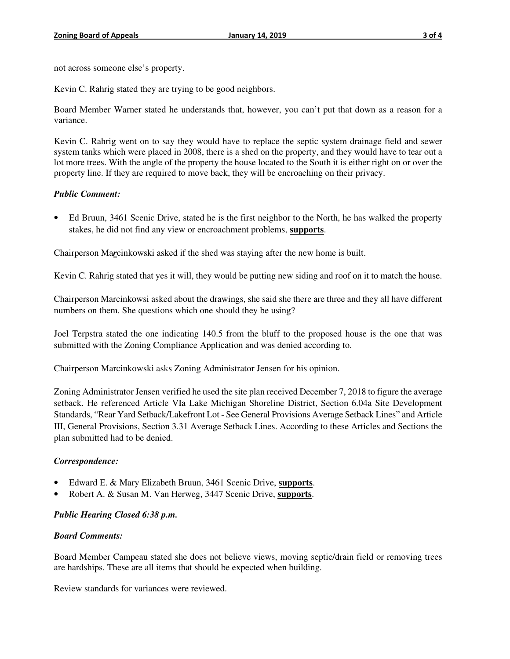not across someone else's property.

Kevin C. Rahrig stated they are trying to be good neighbors.

Board Member Warner stated he understands that, however, you can't put that down as a reason for a variance.

Kevin C. Rahrig went on to say they would have to replace the septic system drainage field and sewer system tanks which were placed in 2008, there is a shed on the property, and they would have to tear out a lot more trees. With the angle of the property the house located to the South it is either right on or over the property line. If they are required to move back, they will be encroaching on their privacy.

### *Public Comment:*

• Ed Bruun, 3461 Scenic Drive, stated he is the first neighbor to the North, he has walked the property stakes, he did not find any view or encroachment problems, **supports**.

Chairperson Ma*r*cinkowski asked if the shed was staying after the new home is built.

Kevin C. Rahrig stated that yes it will, they would be putting new siding and roof on it to match the house.

Chairperson Marcinkowsi asked about the drawings, she said she there are three and they all have different numbers on them. She questions which one should they be using?

Joel Terpstra stated the one indicating 140.5 from the bluff to the proposed house is the one that was submitted with the Zoning Compliance Application and was denied according to.

Chairperson Marcinkowski asks Zoning Administrator Jensen for his opinion.

Zoning Administrator Jensen verified he used the site plan received December 7, 2018 to figure the average setback. He referenced Article VIa Lake Michigan Shoreline District, Section 6.04a Site Development Standards, "Rear Yard Setback/Lakefront Lot - See General Provisions Average Setback Lines" and Article III, General Provisions, Section 3.31 Average Setback Lines. According to these Articles and Sections the plan submitted had to be denied.

### *Correspondence:*

- Edward E. & Mary Elizabeth Bruun, 3461 Scenic Drive, **supports**.
- Robert A. & Susan M. Van Herweg, 3447 Scenic Drive, **supports**.

### *Public Hearing Closed 6:38 p.m.*

#### *Board Comments:*

Board Member Campeau stated she does not believe views, moving septic/drain field or removing trees are hardships. These are all items that should be expected when building.

Review standards for variances were reviewed.